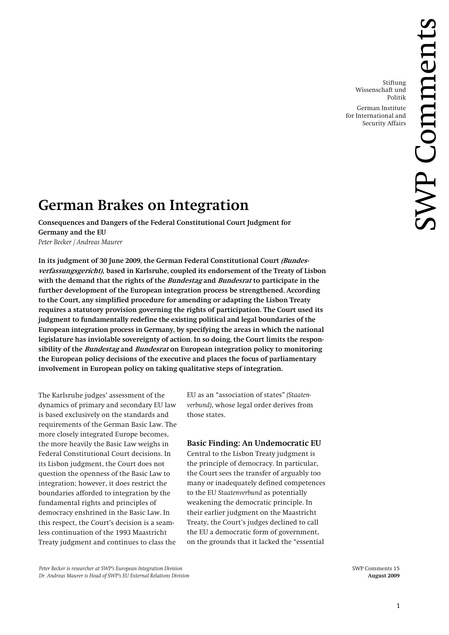Stiftung Wissenschaft und Politik German Institute

for International and Security Affairs

# **German Brakes on Integration**

**Consequences and Dangers of the Federal Constitutional Court Judgment for Germany and the EU**  *Peter Becker / Andreas Maurer* 

In its judgment of 30 June 2009, the German Federal Constitutional Court *(Bundes***verfassungsgericht), based in Karlsruhe, coupled its endorsement of the Treaty of Lisbon with the demand that the rights of the Bundestag and Bundesrat to participate in the further development of the European integration process be strengthened. According to the Court, any simplified procedure for amending or adapting the Lisbon Treaty requires a statutory provision governing the rights of participation. The Court used its judgment to fundamentally redefine the existing political and legal boundaries of the European integration process in Germany, by specifying the areas in which the national legislature has inviolable sovereignty of action. In so doing, the Court limits the responsibility of the Bundestag and Bundesrat on European integration policy to monitoring the European policy decisions of the executive and places the focus of parliamentary involvement in European policy on taking qualitative steps of integration.** 

The Karlsruhe judges' assessment of the dynamics of primary and secondary EU law is based exclusively on the standards and requirements of the German Basic Law. The more closely integrated Europe becomes, the more heavily the Basic Law weighs in Federal Constitutional Court decisions. In its Lisbon judgment, the Court does not question the openness of the Basic Law to integration; however, it does restrict the boundaries afforded to integration by the fundamental rights and principles of democracy enshrined in the Basic Law. In this respect, the Court's decision is a seamless continuation of the 1993 Maastricht Treaty judgment and continues to class the

EU as an "association of states" *(Staatenverbund)*, whose legal order derives from those states.

## **Basic Finding: An Undemocratic EU**

Central to the Lisbon Treaty judgment is the principle of democracy. In particular, the Court sees the transfer of arguably too many or inadequately defined competences to the EU *Staatenverbund* as potentially weakening the democratic principle. In their earlier judgment on the Maastricht Treaty, the Court's judges declined to call the EU a democratic form of government, on the grounds that it lacked the "essential

Peter Becker is researcher at SWP's European Integration Division SWP Comments 15 *Dr. Andreas Maurer is Head of SWP's EU External Relations Division* **August 2009 August 2009**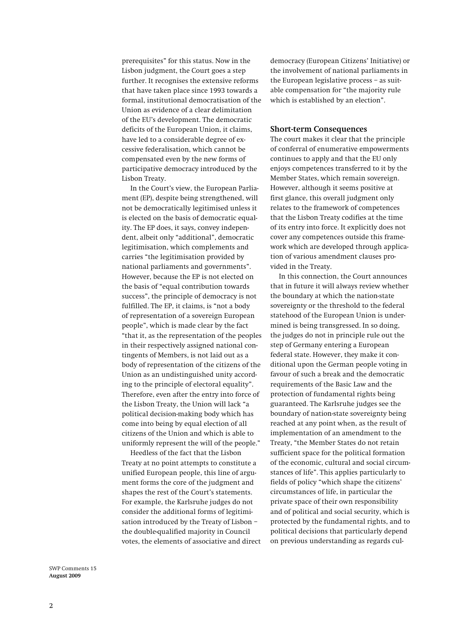prerequisites" for this status. Now in the Lisbon judgment, the Court goes a step further. It recognises the extensive reforms that have taken place since 1993 towards a formal, institutional democratisation of the Union as evidence of a clear delimitation of the EU's development. The democratic deficits of the European Union, it claims, have led to a considerable degree of excessive federalisation, which cannot be compensated even by the new forms of participative democracy introduced by the Lisbon Treaty.

In the Court's view, the European Parliament (EP), despite being strengthened, will not be democratically legitimised unless it is elected on the basis of democratic equality. The EP does, it says, convey independent, albeit only "additional", democratic legitimisation, which complements and carries "the legitimisation provided by national parliaments and governments". However, because the EP is not elected on the basis of "equal contribution towards success", the principle of democracy is not fulfilled. The EP, it claims, is "not a body of representation of a sovereign European people", which is made clear by the fact "that it, as the representation of the peoples in their respectively assigned national contingents of Members, is not laid out as a body of representation of the citizens of the Union as an undistinguished unity according to the principle of electoral equality". Therefore, even after the entry into force of the Lisbon Treaty, the Union will lack "a political decision-making body which has come into being by equal election of all citizens of the Union and which is able to uniformly represent the will of the people."

Heedless of the fact that the Lisbon Treaty at no point attempts to constitute a unified European people, this line of argument forms the core of the judgment and shapes the rest of the Court's statements. For example, the Karlsruhe judges do not consider the additional forms of legitimisation introduced by the Treaty of Lisbon – the double-qualified majority in Council votes, the elements of associative and direct

democracy (European Citizens' Initiative) or the involvement of national parliaments in the European legislative process – as suitable compensation for "the majority rule which is established by an election".

#### **Short-term Consequences**

The court makes it clear that the principle of conferral of enumerative empowerments continues to apply and that the EU only enjoys competences transferred to it by the Member States, which remain sovereign. However, although it seems positive at first glance, this overall judgment only relates to the framework of competences that the Lisbon Treaty codifies at the time of its entry into force. It explicitly does not cover any competences outside this framework which are developed through application of various amendment clauses provided in the Treaty.

In this connection, the Court announces that in future it will always review whether the boundary at which the nation-state sovereignty or the threshold to the federal statehood of the European Union is undermined is being transgressed. In so doing, the judges do not in principle rule out the step of Germany entering a European federal state. However, they make it conditional upon the German people voting in favour of such a break and the democratic requirements of the Basic Law and the protection of fundamental rights being guaranteed. The Karlsruhe judges see the boundary of nation-state sovereignty being reached at any point when, as the result of implementation of an amendment to the Treaty, "the Member States do not retain sufficient space for the political formation of the economic, cultural and social circumstances of life". This applies particularly to fields of policy "which shape the citizens' circumstances of life, in particular the private space of their own responsibility and of political and social security, which is protected by the fundamental rights, and to political decisions that particularly depend on previous understanding as regards cul-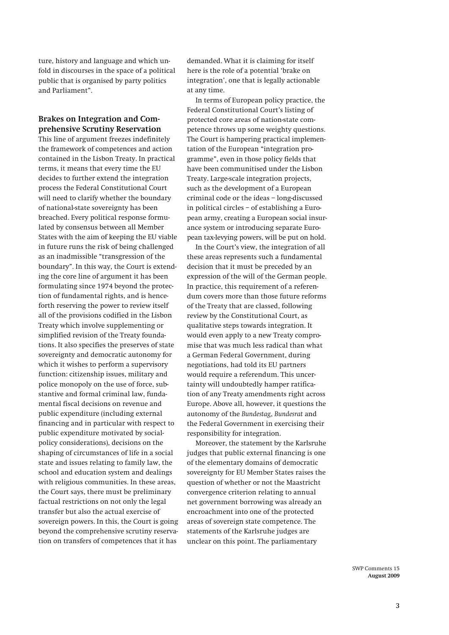ture, history and language and which unfold in discourses in the space of a political public that is organised by party politics and Parliament".

### **Brakes on Integration and Comprehensive Scrutiny Reservation**

This line of argument freezes indefinitely the framework of competences and action contained in the Lisbon Treaty. In practical terms, it means that every time the EU decides to further extend the integration process the Federal Constitutional Court will need to clarify whether the boundary of national-state sovereignty has been breached. Every political response formulated by consensus between all Member States with the aim of keeping the EU viable in future runs the risk of being challenged as an inadmissible "transgression of the boundary". In this way, the Court is extending the core line of argument it has been formulating since 1974 beyond the protection of fundamental rights, and is henceforth reserving the power to review itself all of the provisions codified in the Lisbon Treaty which involve supplementing or simplified revision of the Treaty foundations. It also specifies the preserves of state sovereignty and democratic autonomy for which it wishes to perform a supervisory function: citizenship issues, military and police monopoly on the use of force, substantive and formal criminal law, fundamental fiscal decisions on revenue and public expenditure (including external financing and in particular with respect to public expenditure motivated by socialpolicy considerations), decisions on the shaping of circumstances of life in a social state and issues relating to family law, the school and education system and dealings with religious communities. In these areas, the Court says, there must be preliminary factual restrictions on not only the legal transfer but also the actual exercise of sovereign powers. In this, the Court is going beyond the comprehensive scrutiny reservation on transfers of competences that it has

demanded. What it is claiming for itself here is the role of a potential 'brake on integration', one that is legally actionable at any time.

In terms of European policy practice, the Federal Constitutional Court's listing of protected core areas of nation-state competence throws up some weighty questions. The Court is hampering practical implementation of the European "integration programme", even in those policy fields that have been communitised under the Lisbon Treaty. Large-scale integration projects, such as the development of a European criminal code or the ideas – long-discussed in political circles – of establishing a European army, creating a European social insurance system or introducing separate European tax-levying powers, will be put on hold.

In the Court's view, the integration of all these areas represents such a fundamental decision that it must be preceded by an expression of the will of the German people. In practice, this requirement of a referendum covers more than those future reforms of the Treaty that are classed, following review by the Constitutional Court, as qualitative steps towards integration. It would even apply to a new Treaty compromise that was much less radical than what a German Federal Government, during negotiations, had told its EU partners would require a referendum. This uncertainty will undoubtedly hamper ratification of any Treaty amendments right across Europe. Above all, however, it questions the autonomy of the *Bundestag*, *Bundesrat* and the Federal Government in exercising their responsibility for integration.

Moreover, the statement by the Karlsruhe judges that public external financing is one of the elementary domains of democratic sovereignty for EU Member States raises the question of whether or not the Maastricht convergence criterion relating to annual net government borrowing was already an encroachment into one of the protected areas of sovereign state competence. The statements of the Karlsruhe judges are unclear on this point. The parliamentary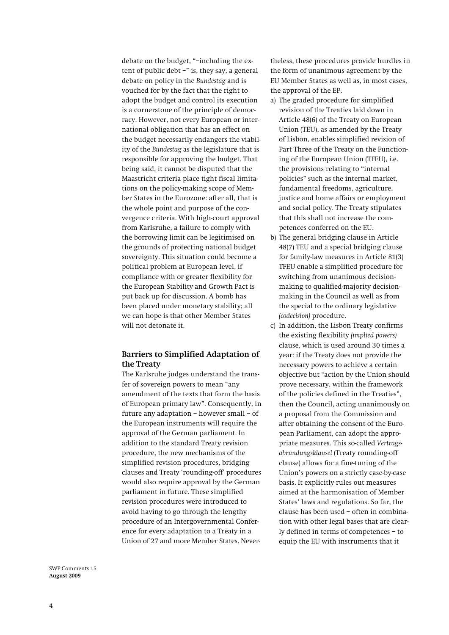debate on the budget, "–including the extent of public debt –" is, they say, a general debate on policy in the *Bundestag* and is vouched for by the fact that the right to adopt the budget and control its execution is a cornerstone of the principle of democracy. However, not every European or international obligation that has an effect on the budget necessarily endangers the viability of the *Bundestag* as the legislature that is responsible for approving the budget. That being said, it cannot be disputed that the Maastricht criteria place tight fiscal limitations on the policy-making scope of Member States in the Eurozone: after all, that is the whole point and purpose of the convergence criteria. With high-court approval from Karlsruhe, a failure to comply with the borrowing limit can be legitimised on the grounds of protecting national budget sovereignty. This situation could become a political problem at European level, if compliance with or greater flexibility for the European Stability and Growth Pact is put back up for discussion. A bomb has been placed under monetary stability; all we can hope is that other Member States will not detonate it.

## **Barriers to Simplified Adaptation of the Treaty**

The Karlsruhe judges understand the transfer of sovereign powers to mean "any amendment of the texts that form the basis of European primary law". Consequently, in future any adaptation – however small – of the European instruments will require the approval of the German parliament. In addition to the standard Treaty revision procedure, the new mechanisms of the simplified revision procedures, bridging clauses and Treaty 'rounding-off' procedures would also require approval by the German parliament in future. These simplified revision procedures were introduced to avoid having to go through the lengthy procedure of an Intergovernmental Conference for every adaptation to a Treaty in a Union of 27 and more Member States. Nevertheless, these procedures provide hurdles in the form of unanimous agreement by the EU Member States as well as, in most cases, the approval of the EP.

- a) The graded procedure for simplified revision of the Treaties laid down in Article 48(6) of the Treaty on European Union (TEU), as amended by the Treaty of Lisbon, enables simplified revision of Part Three of the Treaty on the Functioning of the European Union (TFEU), i.e. the provisions relating to "internal policies" such as the internal market, fundamental freedoms, agriculture, justice and home affairs or employment and social policy. The Treaty stipulates that this shall not increase the competences conferred on the EU.
- b) The general bridging clause in Article 48(7) TEU and a special bridging clause for family-law measures in Article 81(3) TFEU enable a simplified procedure for switching from unanimous decisionmaking to qualified-majority decisionmaking in the Council as well as from the special to the ordinary legislative *(codecision)* procedure.
- c) In addition, the Lisbon Treaty confirms the existing flexibility *(implied powers)* clause, which is used around 30 times a year: if the Treaty does not provide the necessary powers to achieve a certain objective but "action by the Union should prove necessary, within the framework of the policies defined in the Treaties", then the Council, acting unanimously on a proposal from the Commission and after obtaining the consent of the European Parliament, can adopt the appropriate measures. This so-called *Vertragsabrundungsklausel* (Treaty rounding-off clause) allows for a fine-tuning of the Union's powers on a strictly case-by-case basis. It explicitly rules out measures aimed at the harmonisation of Member States' laws and regulations. So far, the clause has been used – often in combination with other legal bases that are clearly defined in terms of competences – to equip the EU with instruments that it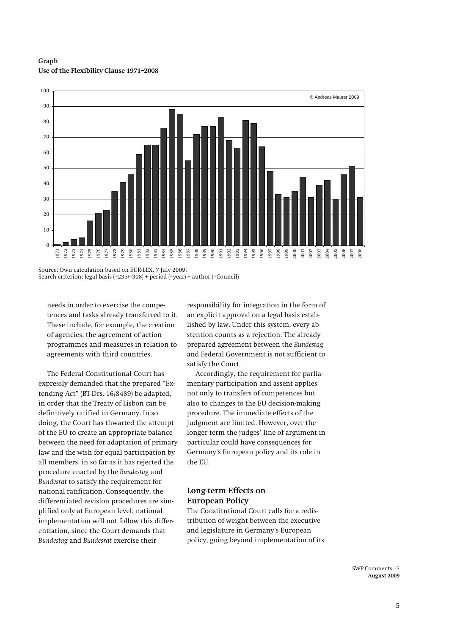**Graph Use of the Flexibility Clause 1971–2008** 



Source: Own calculation based on EUR-LEX, 7 July 2009; Search criterion: legal basis (=235/=308) + period (=year) + author (=Council)

 needs in order to exercise the competences and tasks already transferred to it. These include, for example, the creation of agencies, the agreement of action programmes and measures in relation to agreements with third countries.

The Federal Constitutional Court has expressly demanded that the prepared "Extending Act" (BT-Drs. 16/8489) be adapted, in order that the Treaty of Lisbon can be definitively ratified in Germany. In so doing, the Court has thwarted the attempt of the EU to create an appropriate balance between the need for adaptation of primary law and the wish for equal participation by all members, in so far as it has rejected the procedure enacted by the *Bundestag* and *Bundesrat* to satisfy the requirement for national ratification. Consequently, the differentiated revision procedures are simplified only at European level; national implementation will not follow this differentiation, since the Court demands that *Bundestag* and *Bundesrat* exercise their

responsibility for integration in the form of an explicit approval on a legal basis established by law. Under this system, every abstention counts as a rejection. The already prepared agreement between the *Bundestag* and Federal Government is not sufficient to satisfy the Court.

Accordingly, the requirement for parliamentary participation and assent applies not only to transfers of competences but also to changes to the EU decision-making procedure. The immediate effects of the judgment are limited. However, over the longer term the judges' line of argument in particular could have consequences for Germany's European policy and its role in the EU.

## **Long-term Effects on European Policy**

The Constitutional Court calls for a redistribution of weight between the executive and legislature in Germany's European policy, going beyond implementation of its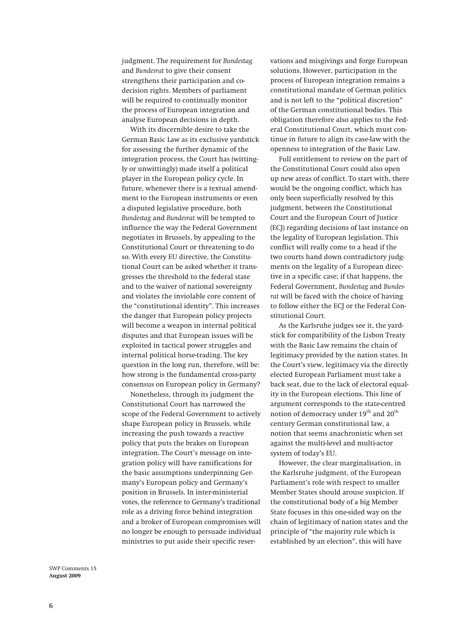judgment. The requirement for *Bundestag* and *Bundesrat* to give their consent strengthens their participation and codecision rights. Members of parliament will be required to continually monitor the process of European integration and analyse European decisions in depth.

With its discernible desire to take the German Basic Law as its exclusive yardstick for assessing the further dynamic of the integration process, the Court has (wittingly or unwittingly) made itself a political player in the European policy cycle. In future, whenever there is a textual amendment to the European instruments or even a disputed legislative procedure, both *Bundestag* and *Bundesrat* will be tempted to influence the way the Federal Government negotiates in Brussels, by appealing to the Constitutional Court or threatening to do so. With every EU directive, the Constitutional Court can be asked whether it transgresses the threshold to the federal state and to the waiver of national sovereignty and violates the inviolable core content of the "constitutional identity". This increases the danger that European policy projects will become a weapon in internal political disputes and that European issues will be exploited in tactical power struggles and internal political horse-trading. The key question in the long run, therefore, will be: how strong is the fundamental cross-party consensus on European policy in Germany?

Nonetheless, through its judgment the Constitutional Court has narrowed the scope of the Federal Government to actively shape European policy in Brussels, while increasing the push towards a reactive policy that puts the brakes on European integration. The Court's message on integration policy will have ramifications for the basic assumptions underpinning Germany's European policy and Germany's position in Brussels. In inter-ministerial votes, the reference to Germany's traditional role as a driving force behind integration and a broker of European compromises will no longer be enough to persuade individual ministries to put aside their specific reservations and misgivings and forge European solutions. However, participation in the process of European integration remains a constitutional mandate of German politics and is not left to the "political discretion" of the German constitutional bodies. This obligation therefore also applies to the Federal Constitutional Court, which must continue in future to align its case-law with the openness to integration of the Basic Law.

Full entitlement to review on the part of the Constitutional Court could also open up new areas of conflict. To start with, there would be the ongoing conflict, which has only been superficially resolved by this judgment, between the Constitutional Court and the European Court of Justice (ECJ) regarding decisions of last instance on the legality of European legislation. This conflict will really come to a head if the two courts hand down contradictory judgments on the legality of a European directive in a specific case; if that happens, the Federal Government, *Bundestag* and *Bundesrat* will be faced with the choice of having to follow either the ECJ or the Federal Constitutional Court*.*

As the Karlsruhe judges see it, the yardstick for compatibility of the Lisbon Treaty with the Basic Law remains the chain of legitimacy provided by the nation states. In the Court's view, legitimacy via the directly elected European Parliament must take a back seat, due to the lack of electoral equality in the European elections. This line of argument corresponds to the state-centred notion of democracy under 19<sup>th</sup> and 20<sup>th</sup> century German constitutional law, a notion that seems anachronistic when set against the multi-level and multi-actor system of today's EU.

However, the clear marginalisation, in the Karlsruhe judgment, of the European Parliament's role with respect to smaller Member States should arouse suspicion. If the constitutional body of a big Member State focuses in this one-sided way on the chain of legitimacy of nation states and the principle of "the majority rule which is established by an election", this will have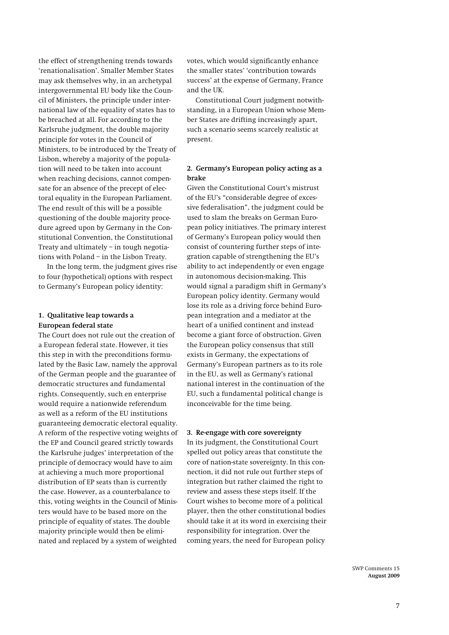the effect of strengthening trends towards 'renationalisation'. Smaller Member States may ask themselves why, in an archetypal intergovernmental EU body like the Council of Ministers, the principle under international law of the equality of states has to be breached at all. For according to the Karlsruhe judgment, the double majority principle for votes in the Council of Ministers, to be introduced by the Treaty of Lisbon, whereby a majority of the population will need to be taken into account when reaching decisions, cannot compensate for an absence of the precept of electoral equality in the European Parliament. The end result of this will be a possible questioning of the double majority procedure agreed upon by Germany in the Constitutional Convention, the Constitutional Treaty and ultimately – in tough negotiations with Poland – in the Lisbon Treaty.

In the long term, the judgment gives rise to four (hypothetical) options with respect to Germany's European policy identity:

#### **1. Qualitative leap towards a European federal state**

The Court does not rule out the creation of a European federal state. However, it ties this step in with the preconditions formulated by the Basic Law, namely the approval of the German people and the guarantee of democratic structures and fundamental rights. Consequently, such en enterprise would require a nationwide referendum as well as a reform of the EU institutions guaranteeing democratic electoral equality. A reform of the respective voting weights of the EP and Council geared strictly towards the Karlsruhe judges' interpretation of the principle of democracy would have to aim at achieving a much more proportional distribution of EP seats than is currently the case. However, as a counterbalance to this, voting weights in the Council of Ministers would have to be based more on the principle of equality of states. The double majority principle would then be eliminated and replaced by a system of weighted

votes, which would significantly enhance the smaller states' 'contribution towards success' at the expense of Germany, France and the UK.

Constitutional Court judgment notwithstanding, in a European Union whose Member States are drifting increasingly apart, such a scenario seems scarcely realistic at present.

## **2. Germany's European policy acting as a brake**

Given the Constitutional Court's mistrust of the EU's "considerable degree of excessive federalisation", the judgment could be used to slam the breaks on German European policy initiatives. The primary interest of Germany's European policy would then consist of countering further steps of integration capable of strengthening the EU's ability to act independently or even engage in autonomous decision-making. This would signal a paradigm shift in Germany's European policy identity. Germany would lose its role as a driving force behind European integration and a mediator at the heart of a unified continent and instead become a giant force of obstruction. Given the European policy consensus that still exists in Germany, the expectations of Germany's European partners as to its role in the EU, as well as Germany's rational national interest in the continuation of the EU, such a fundamental political change is inconceivable for the time being.

#### **3. Re-engage with core sovereignty**

In its judgment, the Constitutional Court spelled out policy areas that constitute the core of nation-state sovereignty. In this connection, it did not rule out further steps of integration but rather claimed the right to review and assess these steps itself. If the Court wishes to become more of a political player, then the other constitutional bodies should take it at its word in exercising their responsibility for integration. Over the coming years, the need for European policy